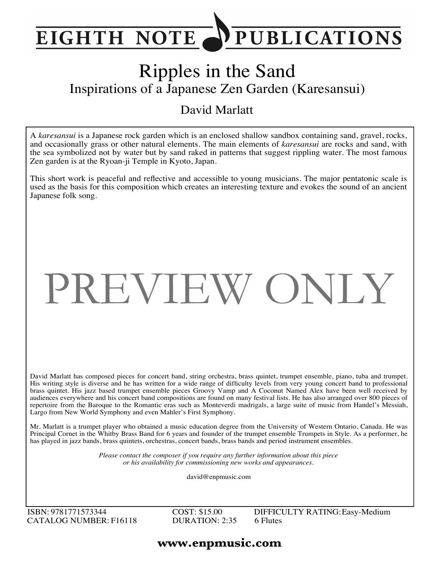

## Ripples in the Sand Inspirations of a Japanese Zen Garden (Karesansui)

### David Marlatt

A *karesansui* is a Japanese rock garden which is an enclosed shallow sandbox containing sand, gravel, rocks, and occasionally grass or other natural elements. The main elements of *karesansui* are rocks and sand, with the sea symbolized not by water but by sand raked in patterns that suggest rippling water. The most famous Zen garden is at the Ryoan-ji Temple in Kyoto, Japan.

This short work is peaceful and reflective and accessible to young musicians. The major pentatonic scale is used as the basis for this composition which creates an interesting texture and evokes the sound of an ancient Japanese folk song.

# PREVIEW ONLY

David Marlatt has composed pieces for concert band, string orchestra, brass quintet, trumpet ensemble, piano, tuba and trumpet. His writing style is diverse and he has written for a wide range of difficulty levels from very young concert band to professional brass quintet. His jazz based trumpet ensemble pieces Groovy Vamp and A Coconut Named Alex have been well received by audiences everywhere and his concert band compositions are found on many festival lists. He has also arranged over 800 pieces of repertoire from the Baroque to the Romantic eras such as Monteverdi madrigals, a large suite of music from Handel's Messiah, Largo from New World Symphony and even Mahler's First Symphony.

Mr. Marlatt is a trumpet player who obtained a music education degree from the University of Western Ontario, Canada. He was Principal Cornet in the Whitby Brass Band for 6 years and founder of the trumpet ensemble Trumpets in Style. As a performer, he has played in jazz bands, brass quintets, orchestras, concert bands, brass bands and period instrument ensembles.

> *Please contact the composer if you require any further information about this piece or his availability for commissioning new works and appearances.*

> > david@enpmusic.com

ISBN: 9781771573344 CATALOG NUMBER: F16118 COST: \$15.00 DURATION: 2:35 DIFFICULTY RATING:Easy-Medium 6 Flutes

### **www.enpmusic.com**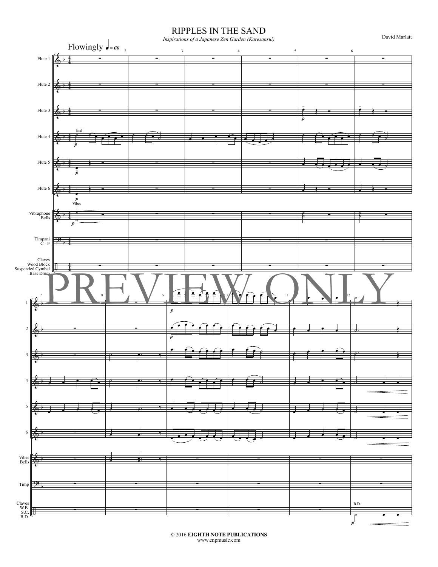#### RIPPLES IN THE SAND

*Inspirations of a Japanese Zen Garden (Karesansui)*



p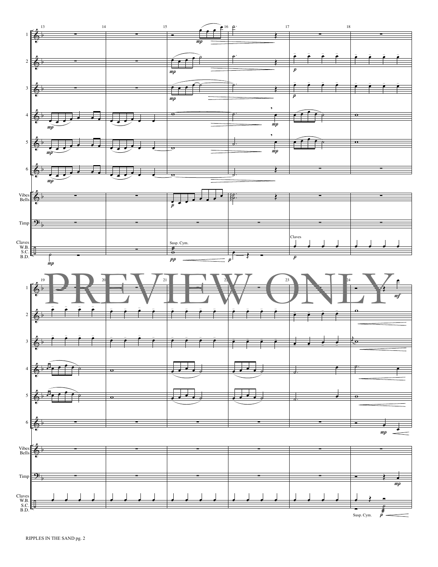

RIPPLES IN THE SAND pg. 2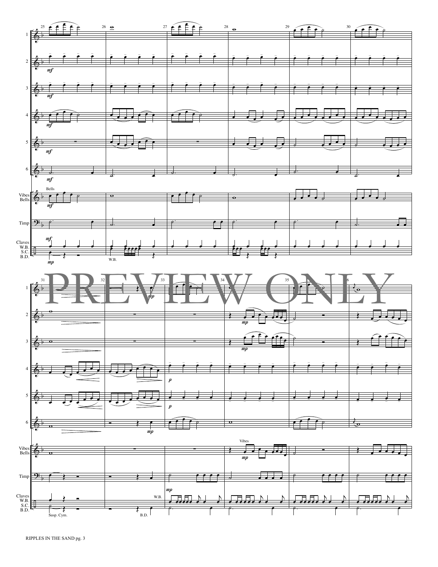